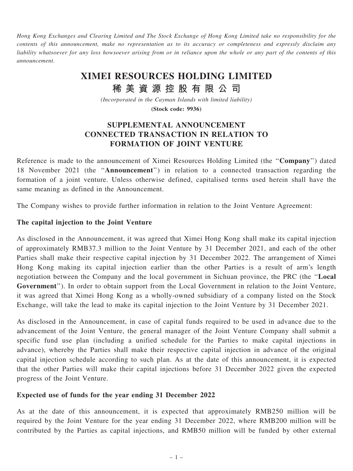Hong Kong Exchanges and Clearing Limited and The Stock Exchange of Hong Kong Limited take no responsibility for the contents of this announcement, make no representation as to its accuracy or completeness and expressly disclaim any liability whatsoever for any loss howsoever arising from or in reliance upon the whole or any part of the contents of this announcement.

# XIMEI RESOURCES HOLDING LIMITED

稀 美 資 源 控 股 有 限 公 司

(Incorporated in the Cayman Islands with limited liability)

(Stock code: 9936)

## SUPPLEMENTAL ANNOUNCEMENT CONNECTED TRANSACTION IN RELATION TO FORMATION OF JOINT VENTURE

Reference is made to the announcement of Ximei Resources Holding Limited (the ''Company'') dated 18 November 2021 (the ''Announcement'') in relation to a connected transaction regarding the formation of a joint venture. Unless otherwise defined, capitalised terms used herein shall have the same meaning as defined in the Announcement.

The Company wishes to provide further information in relation to the Joint Venture Agreement:

#### The capital injection to the Joint Venture

As disclosed in the Announcement, it was agreed that Ximei Hong Kong shall make its capital injection of approximately RMB37.3 million to the Joint Venture by 31 December 2021, and each of the other Parties shall make their respective capital injection by 31 December 2022. The arrangement of Ximei Hong Kong making its capital injection earlier than the other Parties is a result of arm's length negotiation between the Company and the local government in Sichuan province, the PRC (the ''Local Government''). In order to obtain support from the Local Government in relation to the Joint Venture, it was agreed that Ximei Hong Kong as a wholly-owned subsidiary of a company listed on the Stock Exchange, will take the lead to make its capital injection to the Joint Venture by 31 December 2021.

As disclosed in the Announcement, in case of capital funds required to be used in advance due to the advancement of the Joint Venture, the general manager of the Joint Venture Company shall submit a specific fund use plan (including a unified schedule for the Parties to make capital injections in advance), whereby the Parties shall make their respective capital injection in advance of the original capital injection schedule according to such plan. As at the date of this announcement, it is expected that the other Parties will make their capital injections before 31 December 2022 given the expected progress of the Joint Venture.

#### Expected use of funds for the year ending 31 December 2022

As at the date of this announcement, it is expected that approximately RMB250 million will be required by the Joint Venture for the year ending 31 December 2022, where RMB200 million will be contributed by the Parties as capital injections, and RMB50 million will be funded by other external